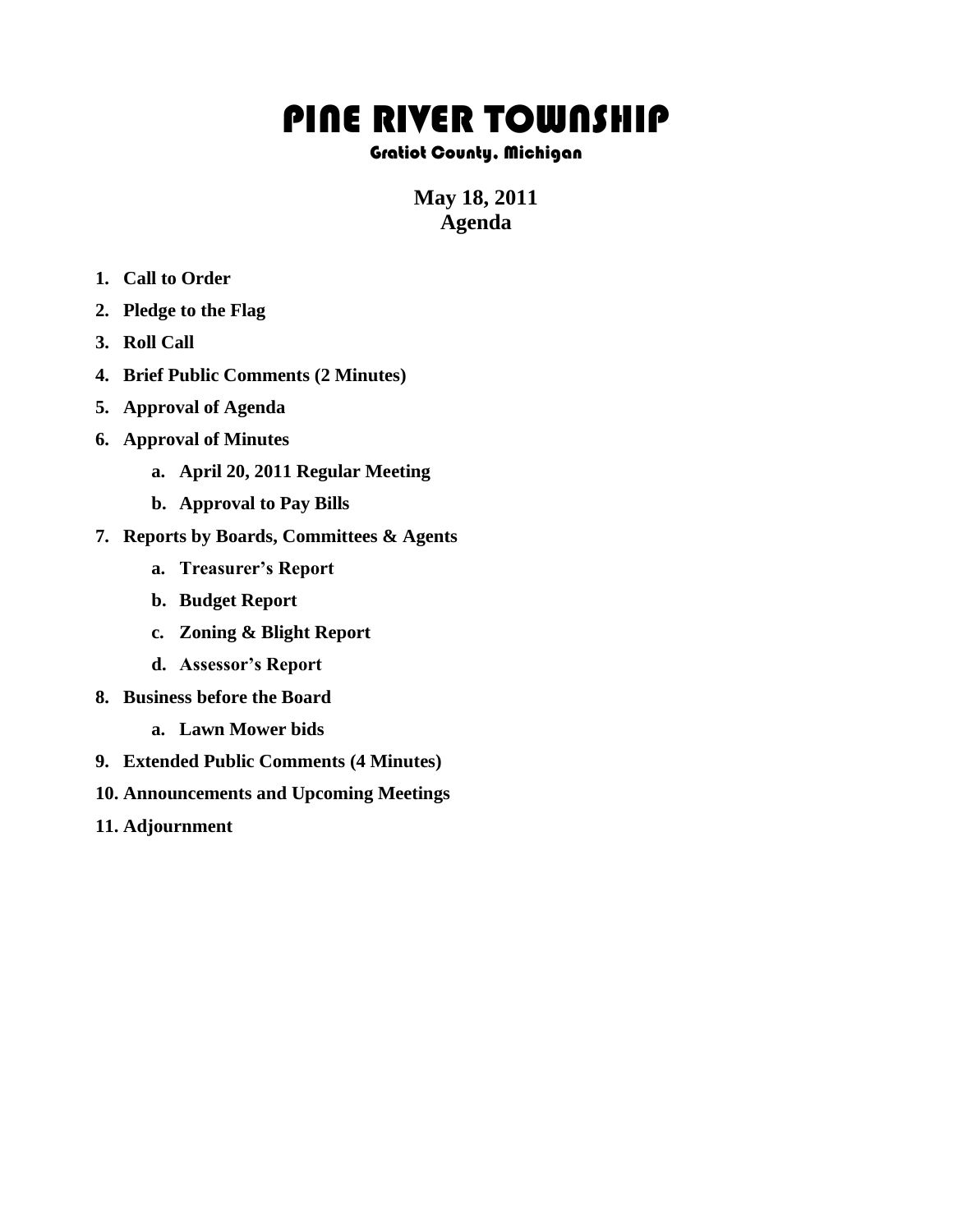## PINE RIVER TOWNSHIP

## Gratiot County, Michigan

## **May 18, 2011 Agenda**

- **1. Call to Order**
- **2. Pledge to the Flag**
- **3. Roll Call**
- **4. Brief Public Comments (2 Minutes)**
- **5. Approval of Agenda**
- **6. Approval of Minutes**
	- **a. April 20, 2011 Regular Meeting**
	- **b. Approval to Pay Bills**
- **7. Reports by Boards, Committees & Agents**
	- **a. Treasurer's Report**
	- **b. Budget Report**
	- **c. Zoning & Blight Report**
	- **d. Assessor's Report**
- **8. Business before the Board**
	- **a. Lawn Mower bids**
- **9. Extended Public Comments (4 Minutes)**
- **10. Announcements and Upcoming Meetings**
- **11. Adjournment**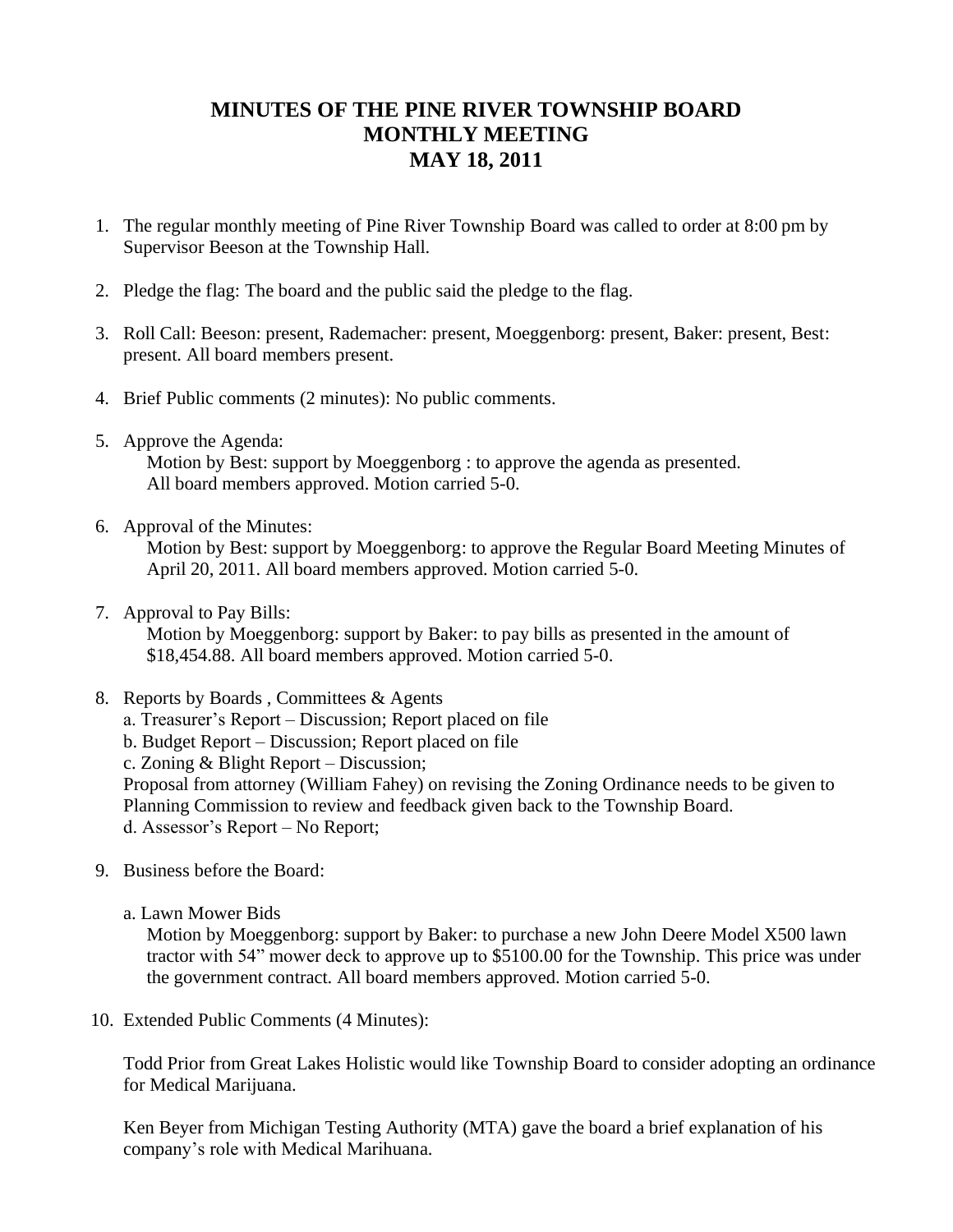## **MINUTES OF THE PINE RIVER TOWNSHIP BOARD MONTHLY MEETING MAY 18, 2011**

- 1. The regular monthly meeting of Pine River Township Board was called to order at 8:00 pm by Supervisor Beeson at the Township Hall.
- 2. Pledge the flag: The board and the public said the pledge to the flag.
- 3. Roll Call: Beeson: present, Rademacher: present, Moeggenborg: present, Baker: present, Best: present. All board members present.
- 4. Brief Public comments (2 minutes): No public comments.
- 5. Approve the Agenda: Motion by Best: support by Moeggenborg : to approve the agenda as presented. All board members approved. Motion carried 5-0.
- 6. Approval of the Minutes:

Motion by Best: support by Moeggenborg: to approve the Regular Board Meeting Minutes of April 20, 2011. All board members approved. Motion carried 5-0.

7. Approval to Pay Bills:

 Motion by Moeggenborg: support by Baker: to pay bills as presented in the amount of \$18,454.88. All board members approved. Motion carried 5-0.

- 8. Reports by Boards , Committees & Agents
	- a. Treasurer's Report Discussion; Report placed on file
	- b. Budget Report Discussion; Report placed on file
	- c. Zoning & Blight Report Discussion;

Proposal from attorney (William Fahey) on revising the Zoning Ordinance needs to be given to Planning Commission to review and feedback given back to the Township Board.

- d. Assessor's Report No Report;
- 9. Business before the Board:
	- a. Lawn Mower Bids

Motion by Moeggenborg: support by Baker: to purchase a new John Deere Model X500 lawn tractor with 54" mower deck to approve up to \$5100.00 for the Township. This price was under the government contract. All board members approved. Motion carried 5-0.

10. Extended Public Comments (4 Minutes):

Todd Prior from Great Lakes Holistic would like Township Board to consider adopting an ordinance for Medical Marijuana.

Ken Beyer from Michigan Testing Authority (MTA) gave the board a brief explanation of his company's role with Medical Marihuana.